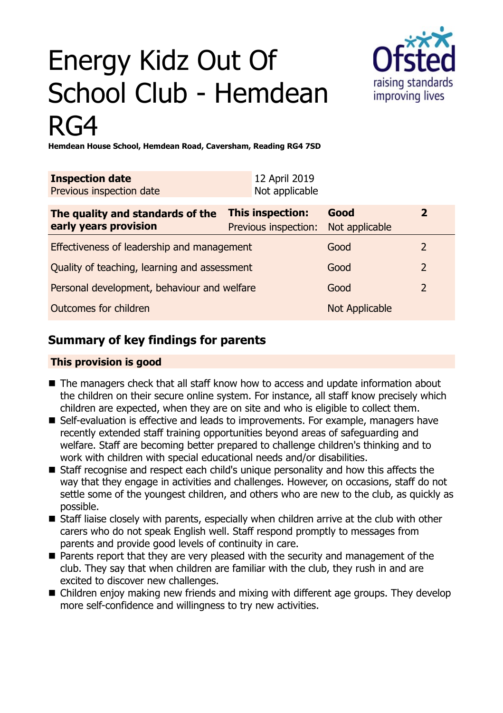# Energy Kidz Out Of School Club - Hemdean RG4



**Hemdean House School, Hemdean Road, Caversham, Reading RG4 7SD**

| <b>Inspection date</b><br>Previous inspection date        | 12 April 2019<br>Not applicable                 |                        |                |
|-----------------------------------------------------------|-------------------------------------------------|------------------------|----------------|
| The quality and standards of the<br>early years provision | <b>This inspection:</b><br>Previous inspection: | Good<br>Not applicable | $\overline{2}$ |
| Effectiveness of leadership and management                |                                                 | Good                   | $\overline{2}$ |
| Quality of teaching, learning and assessment              |                                                 | Good                   | 2              |
| Personal development, behaviour and welfare               |                                                 | Good                   | $\overline{2}$ |
| Outcomes for children                                     |                                                 | Not Applicable         |                |

## **Summary of key findings for parents**

#### **This provision is good**

- The managers check that all staff know how to access and update information about the children on their secure online system. For instance, all staff know precisely which children are expected, when they are on site and who is eligible to collect them.
- Self-evaluation is effective and leads to improvements. For example, managers have recently extended staff training opportunities beyond areas of safeguarding and welfare. Staff are becoming better prepared to challenge children's thinking and to work with children with special educational needs and/or disabilities.
- Staff recognise and respect each child's unique personality and how this affects the way that they engage in activities and challenges. However, on occasions, staff do not settle some of the youngest children, and others who are new to the club, as quickly as possible.
- Staff liaise closely with parents, especially when children arrive at the club with other carers who do not speak English well. Staff respond promptly to messages from parents and provide good levels of continuity in care.
- Parents report that they are very pleased with the security and management of the club. They say that when children are familiar with the club, they rush in and are excited to discover new challenges.
- Children enjoy making new friends and mixing with different age groups. They develop more self-confidence and willingness to try new activities.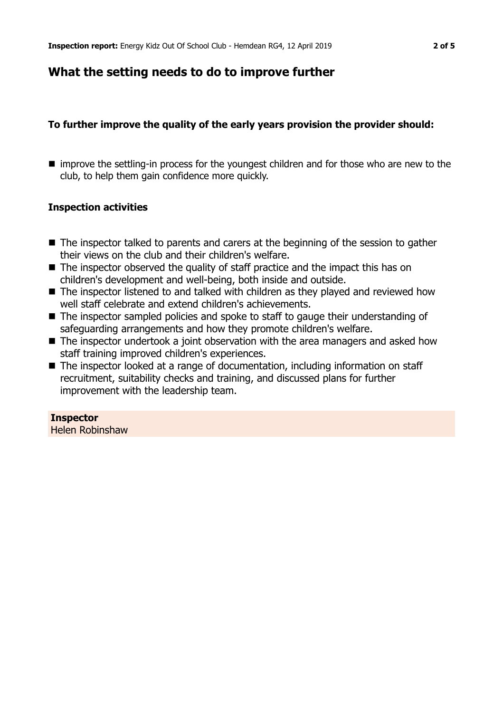## **What the setting needs to do to improve further**

#### **To further improve the quality of the early years provision the provider should:**

■ improve the settling-in process for the youngest children and for those who are new to the club, to help them gain confidence more quickly.

#### **Inspection activities**

- $\blacksquare$  The inspector talked to parents and carers at the beginning of the session to gather their views on the club and their children's welfare.
- $\blacksquare$  The inspector observed the quality of staff practice and the impact this has on children's development and well-being, both inside and outside.
- $\blacksquare$  The inspector listened to and talked with children as they played and reviewed how well staff celebrate and extend children's achievements.
- $\blacksquare$  The inspector sampled policies and spoke to staff to gauge their understanding of safeguarding arrangements and how they promote children's welfare.
- The inspector undertook a joint observation with the area managers and asked how staff training improved children's experiences.
- The inspector looked at a range of documentation, including information on staff recruitment, suitability checks and training, and discussed plans for further improvement with the leadership team.

#### **Inspector**

Helen Robinshaw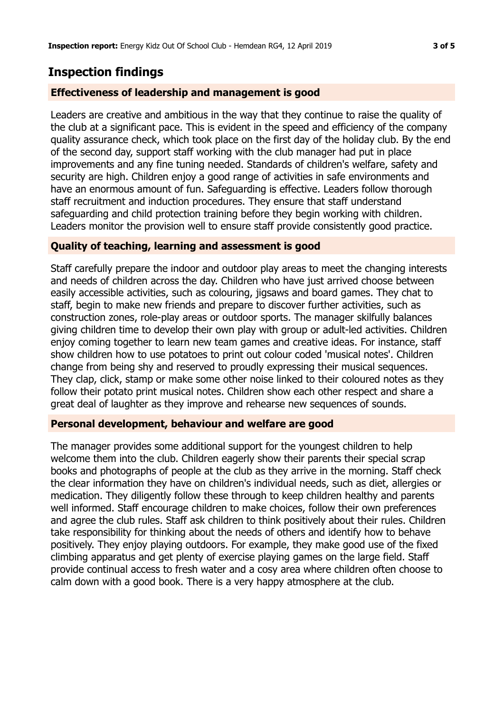## **Inspection findings**

#### **Effectiveness of leadership and management is good**

Leaders are creative and ambitious in the way that they continue to raise the quality of the club at a significant pace. This is evident in the speed and efficiency of the company quality assurance check, which took place on the first day of the holiday club. By the end of the second day, support staff working with the club manager had put in place improvements and any fine tuning needed. Standards of children's welfare, safety and security are high. Children enjoy a good range of activities in safe environments and have an enormous amount of fun. Safeguarding is effective. Leaders follow thorough staff recruitment and induction procedures. They ensure that staff understand safeguarding and child protection training before they begin working with children. Leaders monitor the provision well to ensure staff provide consistently good practice.

#### **Quality of teaching, learning and assessment is good**

Staff carefully prepare the indoor and outdoor play areas to meet the changing interests and needs of children across the day. Children who have just arrived choose between easily accessible activities, such as colouring, jigsaws and board games. They chat to staff, begin to make new friends and prepare to discover further activities, such as construction zones, role-play areas or outdoor sports. The manager skilfully balances giving children time to develop their own play with group or adult-led activities. Children enjoy coming together to learn new team games and creative ideas. For instance, staff show children how to use potatoes to print out colour coded 'musical notes'. Children change from being shy and reserved to proudly expressing their musical sequences. They clap, click, stamp or make some other noise linked to their coloured notes as they follow their potato print musical notes. Children show each other respect and share a great deal of laughter as they improve and rehearse new sequences of sounds.

#### **Personal development, behaviour and welfare are good**

The manager provides some additional support for the youngest children to help welcome them into the club. Children eagerly show their parents their special scrap books and photographs of people at the club as they arrive in the morning. Staff check the clear information they have on children's individual needs, such as diet, allergies or medication. They diligently follow these through to keep children healthy and parents well informed. Staff encourage children to make choices, follow their own preferences and agree the club rules. Staff ask children to think positively about their rules. Children take responsibility for thinking about the needs of others and identify how to behave positively. They enjoy playing outdoors. For example, they make good use of the fixed climbing apparatus and get plenty of exercise playing games on the large field. Staff provide continual access to fresh water and a cosy area where children often choose to calm down with a good book. There is a very happy atmosphere at the club.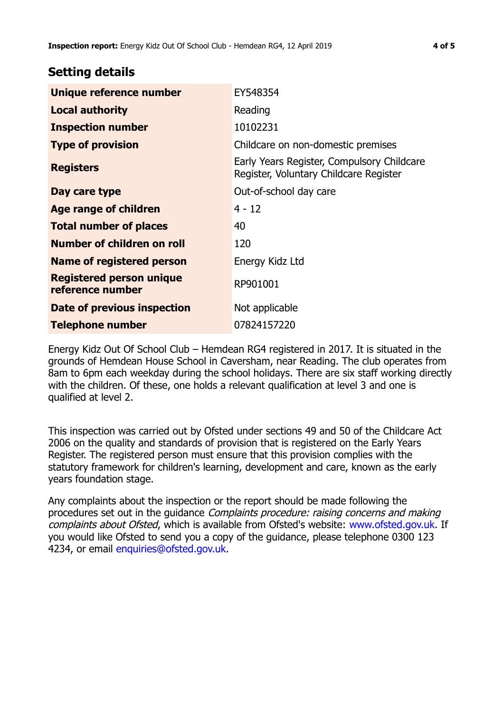### **Setting details**

| Unique reference number                             | EY548354                                                                             |  |
|-----------------------------------------------------|--------------------------------------------------------------------------------------|--|
| <b>Local authority</b>                              | Reading                                                                              |  |
| <b>Inspection number</b>                            | 10102231                                                                             |  |
| <b>Type of provision</b>                            | Childcare on non-domestic premises                                                   |  |
| <b>Registers</b>                                    | Early Years Register, Compulsory Childcare<br>Register, Voluntary Childcare Register |  |
| Day care type                                       | Out-of-school day care                                                               |  |
| <b>Age range of children</b>                        | $4 - 12$                                                                             |  |
| <b>Total number of places</b>                       | 40                                                                                   |  |
| Number of children on roll                          | 120                                                                                  |  |
| Name of registered person                           | Energy Kidz Ltd                                                                      |  |
| <b>Registered person unique</b><br>reference number | RP901001                                                                             |  |
| Date of previous inspection                         | Not applicable                                                                       |  |
| <b>Telephone number</b>                             | 07824157220                                                                          |  |

Energy Kidz Out Of School Club – Hemdean RG4 registered in 2017. It is situated in the grounds of Hemdean House School in Caversham, near Reading. The club operates from 8am to 6pm each weekday during the school holidays. There are six staff working directly with the children. Of these, one holds a relevant qualification at level 3 and one is qualified at level 2.

This inspection was carried out by Ofsted under sections 49 and 50 of the Childcare Act 2006 on the quality and standards of provision that is registered on the Early Years Register. The registered person must ensure that this provision complies with the statutory framework for children's learning, development and care, known as the early years foundation stage.

Any complaints about the inspection or the report should be made following the procedures set out in the guidance Complaints procedure: raising concerns and making complaints about Ofsted, which is available from Ofsted's website: www.ofsted.gov.uk. If you would like Ofsted to send you a copy of the guidance, please telephone 0300 123 4234, or email [enquiries@ofsted.gov.uk.](mailto:enquiries@ofsted.gov.uk)